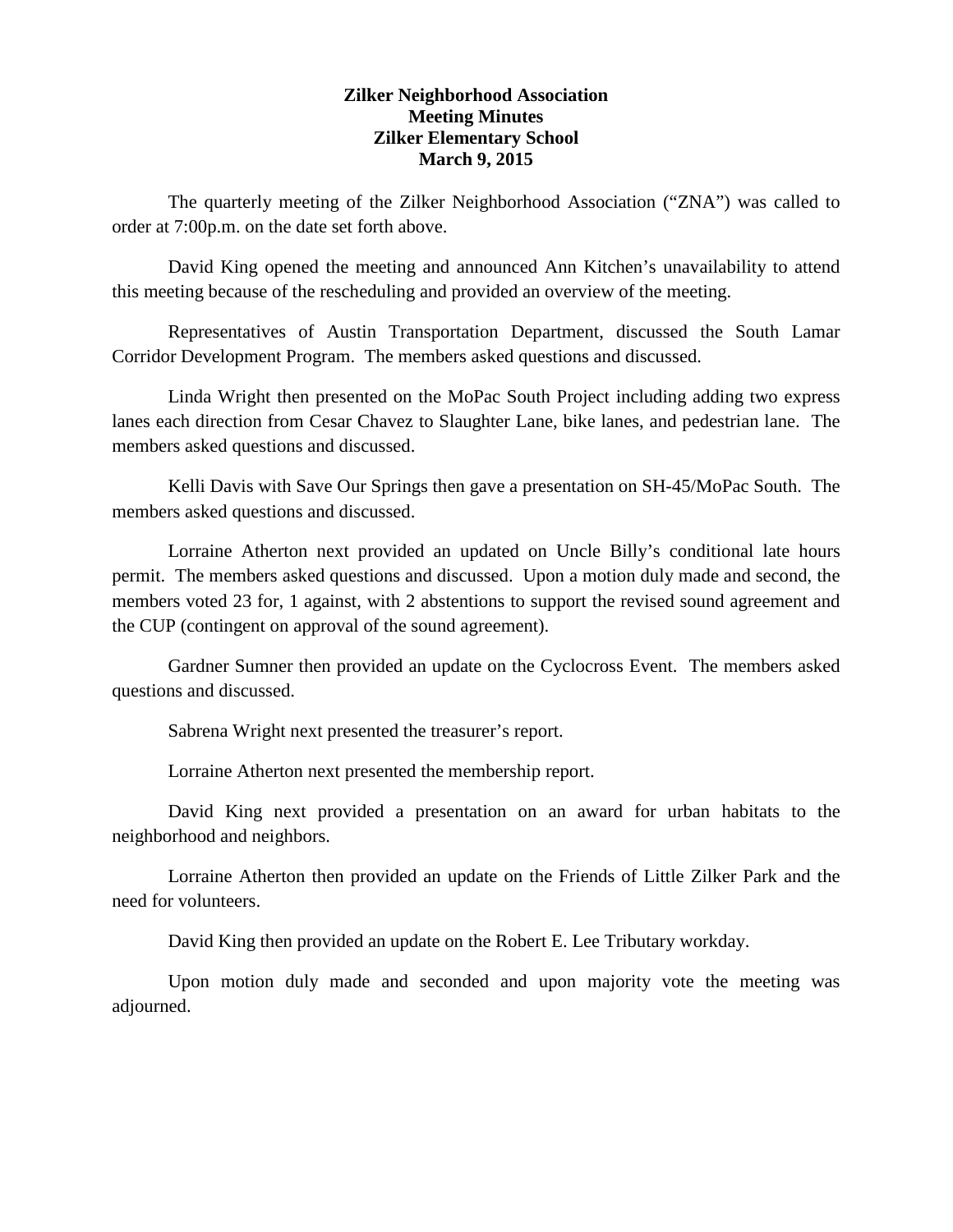## **Zilker Neighborhood Association Meeting Minutes Zilker Elementary School March 9, 2015**

The quarterly meeting of the Zilker Neighborhood Association ("ZNA") was called to order at 7:00p.m. on the date set forth above.

David King opened the meeting and announced Ann Kitchen's unavailability to attend this meeting because of the rescheduling and provided an overview of the meeting.

Representatives of Austin Transportation Department, discussed the South Lamar Corridor Development Program. The members asked questions and discussed.

Linda Wright then presented on the MoPac South Project including adding two express lanes each direction from Cesar Chavez to Slaughter Lane, bike lanes, and pedestrian lane. The members asked questions and discussed.

Kelli Davis with Save Our Springs then gave a presentation on SH-45/MoPac South. The members asked questions and discussed.

Lorraine Atherton next provided an updated on Uncle Billy's conditional late hours permit. The members asked questions and discussed. Upon a motion duly made and second, the members voted 23 for, 1 against, with 2 abstentions to support the revised sound agreement and the CUP (contingent on approval of the sound agreement).

Gardner Sumner then provided an update on the Cyclocross Event. The members asked questions and discussed.

Sabrena Wright next presented the treasurer's report.

Lorraine Atherton next presented the membership report.

David King next provided a presentation on an award for urban habitats to the neighborhood and neighbors.

Lorraine Atherton then provided an update on the Friends of Little Zilker Park and the need for volunteers.

David King then provided an update on the Robert E. Lee Tributary workday.

Upon motion duly made and seconded and upon majority vote the meeting was adjourned.